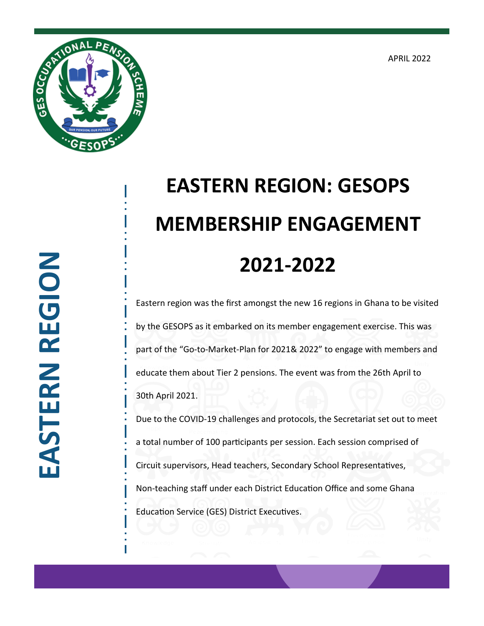APRIL 2022



## **EASTERN REGION: GESOPS MEMBERSHIP ENGAGEMENT 2021-2022**

Eastern region was the first amongst the new 16 regions in Ghana to be visited by the GESOPS as it embarked on its member engagement exercise. This was part of the "Go-to-Market-Plan for 2021& 2022" to engage with members and educate them about Tier 2 pensions. The event was from the 26th April to 30th April 2021.

Due to the COVID-19 challenges and protocols, the Secretariat set out to meet a total number of 100 participants per session. Each session comprised of Circuit supervisors, Head teachers, Secondary School Representatives, Non-teaching staff under each District Education Office and some Ghana Education Service (GES) District Executives.